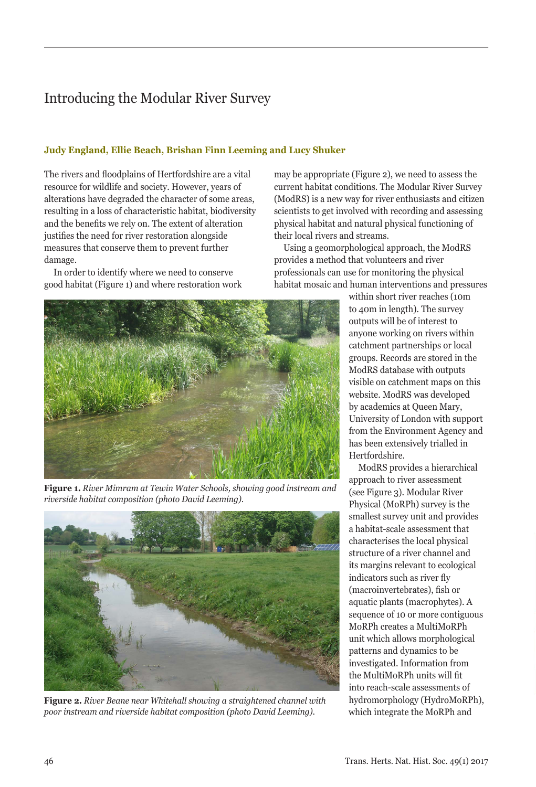# Introducing the Modular River Survey

## **Judy England, Ellie Beach, Brishan Finn Leeming and Lucy Shuker**

The rivers and floodplains of Hertfordshire are a vital resource for wildlife and society. However, years of alterations have degraded the character of some areas, resulting in a loss of characteristic habitat, biodiversity and the benefits we rely on. The extent of alteration justifies the need for river restoration alongside measures that conserve them to prevent further damage.

In order to identify where we need to conserve good habitat (Figure 1) and where restoration work



**Figure 1.** *River Mimram at Tewin Water Schools, showing good instream and riverside habitat composition (photo David Leeming).*



**Figure 2.** *River Beane near Whitehall showing a straightened channel with poor instream and riverside habitat composition (photo David Leeming).*

may be appropriate (Figure 2), we need to assess the current habitat conditions. The Modular River Survey (ModRS) is a new way for river enthusiasts and citizen scientists to get involved with recording and assessing physical habitat and natural physical functioning of their local rivers and streams.

Using a geomorphological approach, the ModRS provides a method that volunteers and river professionals can use for monitoring the physical habitat mosaic and human interventions and pressures

within short river reaches (10m to 40m in length). The survey outputs will be of interest to anyone working on rivers within catchment partnerships or local groups. Records are stored in the ModRS database with outputs visible on catchment maps on this website. ModRS was developed by academics at Queen Mary, University of London with support from the Environment Agency and has been extensively trialled in Hertfordshire.

ModRS provides a hierarchical approach to river assessment (see Figure 3). Modular River Physical (MoRPh) survey is the smallest survey unit and provides a habitat-scale assessment that characterises the local physical structure of a river channel and its margins relevant to ecological indicators such as river fly (macroinvertebrates), fish or aquatic plants (macrophytes). A sequence of 10 or more contiguous MoRPh creates a MultiMoRPh unit which allows morphological patterns and dynamics to be investigated. Information from the MultiMoRPh units will fit into reach-scale assessments of hydromorphology (HydroMoRPh), which integrate the MoRPh and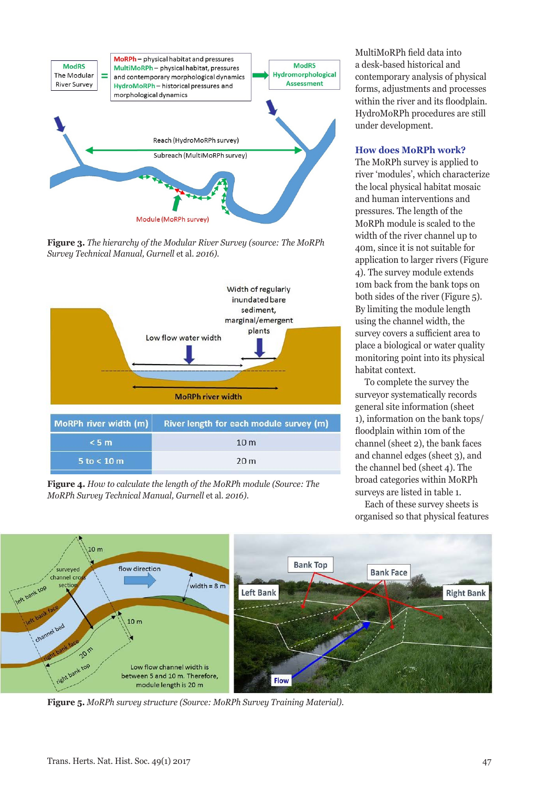

**Figure 3.** *The hierarchy of the Modular River Survey (source: The MoRPh Survey Technical Manual, Gurnell* et al. *2016).*



**Figure 4.** *How to calculate the length of the MoRPh module (Source: The MoRPh Survey Technical Manual, Gurnell* et al*. 2016).*

MultiMoRPh field data into a desk-based historical and contemporary analysis of physical forms, adjustments and processes within the river and its floodplain. HydroMoRPh procedures are still under development.

### **How does MoRPh work?**

The MoRPh survey is applied to river 'modules', which characterize the local physical habitat mosaic and human interventions and pressures. The length of the MoRPh module is scaled to the width of the river channel up to 40m, since it is not suitable for application to larger rivers (Figure 4). The survey module extends 10m back from the bank tops on both sides of the river (Figure 5). By limiting the module length using the channel width, the survey covers a sufficient area to place a biological or water quality monitoring point into its physical habitat context.

To complete the survey the surveyor systematically records general site information (sheet 1), information on the bank tops/ floodplain within 10m of the channel (sheet 2), the bank faces and channel edges (sheet 3), and the channel bed (sheet 4). The broad categories within MoRPh surveys are listed in table 1.

Each of these survey sheets is organised so that physical features



**Figure 5.** *MoRPh survey structure (Source: MoRPh Survey Training Material).*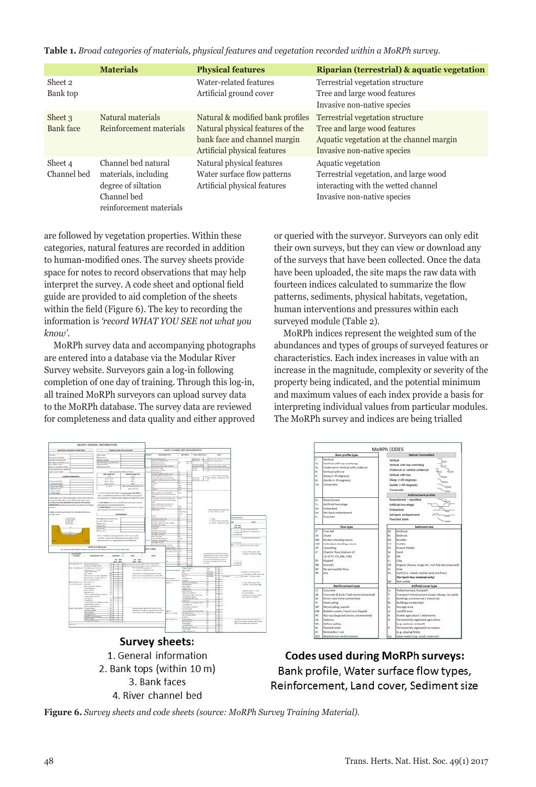**Table 1.** *Broad categories of materials, physical features and vegetation recorded within a MoRPh survey.*

|                             | <b>Materials</b>                                                                                             | <b>Physical features</b>                                                                                                             | Riparian (terrestrial) & aquatic vegetation                                                                                                 |
|-----------------------------|--------------------------------------------------------------------------------------------------------------|--------------------------------------------------------------------------------------------------------------------------------------|---------------------------------------------------------------------------------------------------------------------------------------------|
| Sheet 2<br>Bank top         |                                                                                                              | Water-related features<br>Artificial ground cover                                                                                    | Terrestrial vegetation structure<br>Tree and large wood features<br>Invasive non-native species                                             |
| Sheet 3<br><b>Bank</b> face | Natural materials<br>Reinforcement materials                                                                 | Natural & modified bank profiles<br>Natural physical features of the<br>bank face and channel margin<br>Artificial physical features | Terrestrial vegetation structure<br>Tree and large wood features<br>Aquatic vegetation at the channel margin<br>Invasive non-native species |
| Sheet 4<br>Channel bed      | Channel bed natural<br>materials, including<br>degree of siltation<br>Channel bed<br>reinforcement materials | Natural physical features<br>Water surface flow patterns<br>Artificial physical features                                             | Aquatic vegetation<br>Terrestrial vegetation, and large wood<br>interacting with the wetted channel<br>Invasive non-native species          |

are followed by vegetation properties. Within these categories, natural features are recorded in addition to human-modified ones. The survey sheets provide space for notes to record observations that may help interpret the survey. A code sheet and optional field guide are provided to aid completion of the sheets within the field (Figure 6). The key to recording the information is *'record WHAT YOU SEE not what you know'.* 

MoRPh survey data and accompanying photographs are entered into a database via the Modular River Survey website. Surveyors gain a log-in following completion of one day of training. Through this log-in, all trained MoRPh surveyors can upload survey data to the MoRPh database. The survey data are reviewed for completeness and data quality and either approved

or queried with the surveyor. Surveyors can only edit their own surveys, but they can view or download any of the surveys that have been collected. Once the data have been uploaded, the site maps the raw data with fourteen indices calculated to summarize the flow patterns, sediments, physical habitats, vegetation, human interventions and pressures within each surveyed module (Table 2).

MoRPh indices represent the weighted sum of the abundances and types of groups of surveyed features or characteristics. Each index increases in value with an increase in the magnitude, complexity or severity of the property being indicated, and the potential minimum and maximum values of each index provide a basis for interpreting individual values from particular modules. The MoRPh survey and indices are being trialled



**Codes used during MoRPh surveys:** Bank profile, Water surface flow types, Reinforcement, Land cover, Sediment size

1. General information 2. Bank tops (within 10 m) 3. Bank faces 4. River channel bed

**Figure 6.** *Survey sheets and code sheets (source: MoRPh Survey Training Material).*